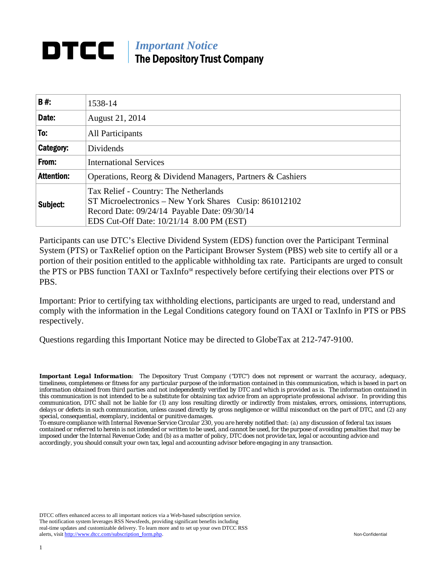# *Important Notice*  The Depository Trust Company

| B#:               | 1538-14                                                                                                                                                                                     |
|-------------------|---------------------------------------------------------------------------------------------------------------------------------------------------------------------------------------------|
| Date:             | August 21, 2014                                                                                                                                                                             |
| To:               | All Participants                                                                                                                                                                            |
| Category:         | Dividends                                                                                                                                                                                   |
| From:             | <b>International Services</b>                                                                                                                                                               |
| <b>Attention:</b> | Operations, Reorg & Dividend Managers, Partners & Cashiers                                                                                                                                  |
| Subject:          | Tax Relief - Country: The Netherlands<br>ST Microelectronics – New York Shares Cusip: 861012102<br>Record Date: 09/24/14 Payable Date: 09/30/14<br>EDS Cut-Off Date: 10/21/14 8.00 PM (EST) |

Participants can use DTC's Elective Dividend System (EDS) function over the Participant Terminal System (PTS) or TaxRelief option on the Participant Browser System (PBS) web site to certify all or a portion of their position entitled to the applicable withholding tax rate. Participants are urged to consult the PTS or PBS function TAXI or TaxInfo℠ respectively before certifying their elections over PTS or PBS.

Important: Prior to certifying tax withholding elections, participants are urged to read, understand and comply with the information in the Legal Conditions category found on TAXI or TaxInfo in PTS or PBS respectively.

Questions regarding this Important Notice may be directed to GlobeTax at 212-747-9100.

*Important Legal Information: The Depository Trust Company ("DTC") does not represent or warrant the accuracy, adequacy, timeliness, completeness or fitness for any particular purpose of the information contained in this communication, which is based in part on information obtained from third parties and not independently verified by DTC and which is provided as is. The information contained in this communication is not intended to be a substitute for obtaining tax advice from an appropriate professional advisor. In providing this communication, DTC shall not be liable for (1) any loss resulting directly or indirectly from mistakes, errors, omissions, interruptions, delays or defects in such communication, unless caused directly by gross negligence or willful misconduct on the part of DTC, and (2) any special, consequential, exemplary, incidental or punitive damages.* 

*To ensure compliance with Internal Revenue Service Circular 230, you are hereby notified that: (a) any discussion of federal tax issues contained or referred to herein is not intended or written to be used, and cannot be used, for the purpose of avoiding penalties that may be imposed under the Internal Revenue Code; and (b) as a matter of policy, DTC does not provide tax, legal or accounting advice and accordingly, you should consult your own tax, legal and accounting advisor before engaging in any transaction.*

DTCC offers enhanced access to all important notices via a Web-based subscription service. The notification system leverages RSS Newsfeeds, providing significant benefits including real-time updates and customizable delivery. To learn more and to set up your own DTCC RSS alerts, visit http://www.dtcc.com/subscription\_form.php. Non-Confidential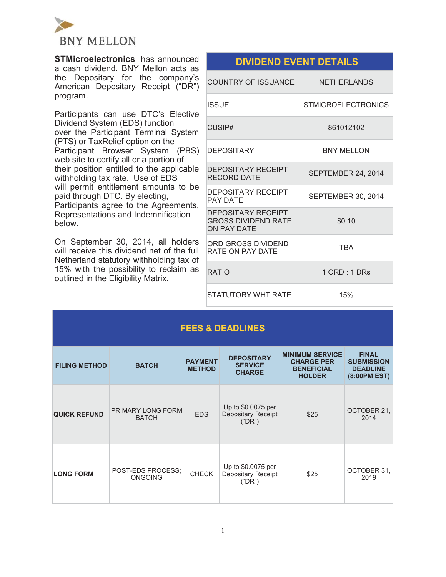

**STMicroelectronics** has announced a cash dividend. BNY Mellon acts as the Depositary for the company's American Depositary Receipt ("DR") program.

Participants can use DTC's Elective Dividend System (EDS) function over the Participant Terminal System (PTS) or TaxRelief option on the Participant Browser System (PBS) web site to certify all or a portion of their position entitled to the applicable withholding tax rate. Use of EDS will permit entitlement amounts to be paid through DTC. By electing, Participants agree to the Agreements, Representations and Indemnification below.

On September 30, 2014, all holders will receive this dividend net of the full Netherland statutory withholding tax of 15% with the possibility to reclaim as outlined in the Eligibility Matrix.

| <b>DIVIDEND EVENT DETAILS</b>                                                 |                           |
|-------------------------------------------------------------------------------|---------------------------|
| COUNTRY OF ISSUANCE                                                           | <b>NETHERLANDS</b>        |
| <b>ISSUE</b>                                                                  | <b>STMICROELECTRONICS</b> |
| CUSIP#                                                                        | 861012102                 |
| <b>DEPOSITARY</b>                                                             | <b>BNY MELLON</b>         |
| <b>DEPOSITARY RECEIPT</b><br>RECORD DATE                                      | SEPTEMBER 24, 2014        |
| DEPOSITARY RECEIPT<br><b>PAY DATE</b>                                         | <b>SEPTEMBER 30, 2014</b> |
| <b>DEPOSITARY RECEIPT</b><br><b>GROSS DIVIDEND RATE</b><br><b>ON PAY DATE</b> | \$0.10                    |
| ORD GROSS DIVIDEND<br><b>RATE ON PAY DATE</b>                                 | <b>TRA</b>                |
| <b>RATIO</b>                                                                  | $1$ ORD : $1$ DRs         |
| STATUTORY WHT RATE                                                            | 15%                       |

| <b>FEES &amp; DEADLINES</b> |                                     |                                 |                                                      |                                                                                   |                                                                      |
|-----------------------------|-------------------------------------|---------------------------------|------------------------------------------------------|-----------------------------------------------------------------------------------|----------------------------------------------------------------------|
| <b>FILING METHOD</b>        | <b>BATCH</b>                        | <b>PAYMENT</b><br><b>METHOD</b> | <b>DEPOSITARY</b><br><b>SERVICE</b><br><b>CHARGE</b> | <b>MINIMUM SERVICE</b><br><b>CHARGE PER</b><br><b>BENEFICIAL</b><br><b>HOLDER</b> | <b>FINAL</b><br><b>SUBMISSION</b><br><b>DEADLINE</b><br>(8:00PM EST) |
| <b>QUICK REFUND</b>         | PRIMARY LONG FORM<br><b>BATCH</b>   | <b>EDS</b>                      | Up to \$0.0075 per<br>Depositary Receipt<br>("DR")   | \$25                                                                              | OCTOBER 21,<br>2014                                                  |
| <b>LONG FORM</b>            | POST-EDS PROCESS:<br><b>ONGOING</b> | <b>CHECK</b>                    | Up to \$0.0075 per<br>Depositary Receipt<br>("DR")   | \$25                                                                              | OCTOBER 31.<br>2019                                                  |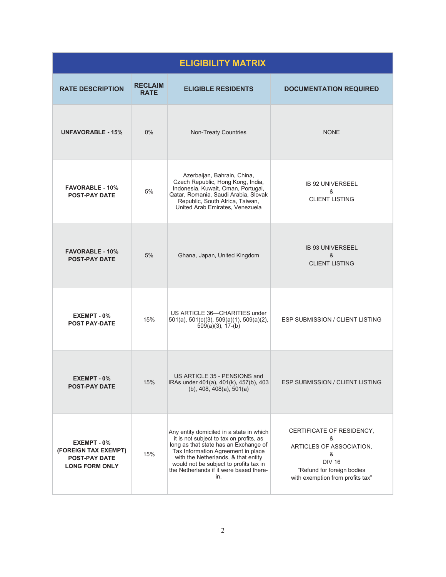| <b>ELIGIBILITY MATRIX</b>                                                            |                               |                                                                                                                                                                                                                                                                                                       |                                                                                                                                                    |  |
|--------------------------------------------------------------------------------------|-------------------------------|-------------------------------------------------------------------------------------------------------------------------------------------------------------------------------------------------------------------------------------------------------------------------------------------------------|----------------------------------------------------------------------------------------------------------------------------------------------------|--|
| <b>RATE DESCRIPTION</b>                                                              | <b>RECLAIM</b><br><b>RATE</b> | <b>ELIGIBLE RESIDENTS</b>                                                                                                                                                                                                                                                                             | <b>DOCUMENTATION REQUIRED</b>                                                                                                                      |  |
| <b>UNFAVORABLE - 15%</b>                                                             | 0%                            | Non-Treaty Countries                                                                                                                                                                                                                                                                                  | <b>NONE</b>                                                                                                                                        |  |
| <b>FAVORABLE - 10%</b><br><b>POST-PAY DATE</b>                                       | 5%                            | Azerbaijan, Bahrain, China,<br>Czech Republic, Hong Kong, India,<br>Indonesia, Kuwait, Oman, Portugal,<br>Qatar, Romania, Saudi Arabia, Slovak<br>Republic, South Africa, Taiwan,<br>United Arab Emirates, Venezuela                                                                                  | <b>IB 92 UNIVERSEEL</b><br>&<br><b>CLIENT LISTING</b>                                                                                              |  |
| <b>FAVORABLE - 10%</b><br><b>POST-PAY DATE</b>                                       | 5%                            | Ghana, Japan, United Kingdom                                                                                                                                                                                                                                                                          | <b>IB 93 UNIVERSEEL</b><br>&<br><b>CLIENT LISTING</b>                                                                                              |  |
| EXEMPT - 0%<br><b>POST PAY-DATE</b>                                                  | 15%                           | US ARTICLE 36-CHARITIES under<br>$501(a)$ , $501(c)(3)$ , $509(a)(1)$ , $509(a)(2)$ ,<br>$509(a)(3)$ , 17-(b)                                                                                                                                                                                         | <b>ESP SUBMISSION / CLIENT LISTING</b>                                                                                                             |  |
| EXEMPT - 0%<br><b>POST-PAY DATE</b>                                                  | 15%                           | US ARTICLE 35 - PENSIONS and<br>IRAs under 401(a), 401(k), 457(b), 403<br>(b), $408$ , $408(a)$ , $501(a)$                                                                                                                                                                                            | ESP SUBMISSION / CLIENT LISTING                                                                                                                    |  |
| EXEMPT - 0%<br>(FOREIGN TAX EXEMPT)<br><b>POST-PAY DATE</b><br><b>LONG FORM ONLY</b> | 15%                           | Any entity domiciled in a state in which<br>it is not subject to tax on profits, as<br>long as that state has an Exchange of<br>Tax Information Agreement in place<br>with the Netherlands, & that entity<br>would not be subject to profits tax in<br>the Netherlands if it were based there-<br>in. | CERTIFICATE OF RESIDENCY,<br>&<br>ARTICLES OF ASSOCIATION,<br>&<br><b>DIV 16</b><br>"Refund for foreign bodies<br>with exemption from profits tax" |  |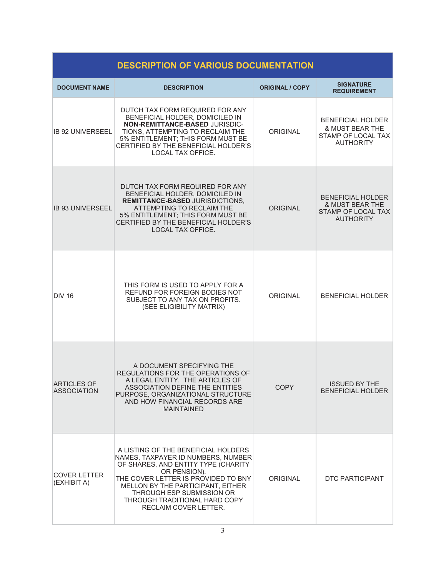| <b>DESCRIPTION OF VARIOUS DOCUMENTATION</b> |                                                                                                                                                                                                                                                                                                     |                        |                                                                                                  |  |
|---------------------------------------------|-----------------------------------------------------------------------------------------------------------------------------------------------------------------------------------------------------------------------------------------------------------------------------------------------------|------------------------|--------------------------------------------------------------------------------------------------|--|
| <b>DOCUMENT NAME</b>                        | <b>DESCRIPTION</b>                                                                                                                                                                                                                                                                                  | <b>ORIGINAL / COPY</b> | <b>SIGNATURE</b><br><b>REQUIREMENT</b>                                                           |  |
| IB 92 UNIVERSEEL                            | DUTCH TAX FORM REQUIRED FOR ANY<br>BENEFICIAL HOLDER, DOMICILED IN<br>NON-REMITTANCE-BASED JURISDIC-<br>TIONS, ATTEMPTING TO RECLAIM THE<br>5% ENTITLEMENT; THIS FORM MUST BE<br>CERTIFIED BY THE BENEFICIAL HOLDER'S<br><b>LOCAL TAX OFFICE.</b>                                                   | ORIGINAL               | <b>BENEFICIAL HOLDER</b><br><b>&amp; MUST BEAR THE</b><br>STAMP OF LOCAL TAX<br><b>AUTHORITY</b> |  |
| <b>IB 93 UNIVERSEEL</b>                     | DUTCH TAX FORM REQUIRED FOR ANY<br>BENEFICIAL HOLDER, DOMICILED IN<br><b>REMITTANCE-BASED JURISDICTIONS,</b><br>ATTEMPTING TO RECLAIM THE<br>5% ENTITLEMENT; THIS FORM MUST BE<br>CERTIFIED BY THE BENEFICIAL HOLDER'S<br><b>LOCAL TAX OFFICE.</b>                                                  | ORIGINAL               | <b>BENEFICIAL HOLDER</b><br>& MUST BEAR THE<br><b>STAMP OF LOCAL TAX</b><br><b>AUTHORITY</b>     |  |
| <b>DIV 16</b>                               | THIS FORM IS USED TO APPLY FOR A<br>REFUND FOR FOREIGN BODIES NOT<br>SUBJECT TO ANY TAX ON PROFITS.<br>(SEE ELIGIBILITY MATRIX)                                                                                                                                                                     | <b>ORIGINAL</b>        | <b>BENEFICIAL HOLDER</b>                                                                         |  |
| <b>ARTICLES OF</b><br><b>ASSOCIATION</b>    | A DOCUMENT SPECIFYING THE<br>REGULATIONS FOR THE OPERATIONS OF<br>A LEGAL ENTITY. THE ARTICLES OF<br>ASSOCIATION DEFINE THE ENTITIES<br>PURPOSE, ORGANIZATIONAL STRUCTURE<br>AND HOW FINANCIAL RECORDS ARE<br><b>MAINTAINED</b>                                                                     | <b>COPY</b>            | <b>ISSUED BY THE</b><br><b>BENEFICIAL HOLDER</b>                                                 |  |
| <b>COVER LETTER</b><br>(EXHIBIT A)          | A LISTING OF THE BENEFICIAL HOLDERS<br>NAMES, TAXPAYER ID NUMBERS, NUMBER<br>OF SHARES, AND ENTITY TYPE (CHARITY<br>OR PENSION).<br>THE COVER LETTER IS PROVIDED TO BNY<br>MELLON BY THE PARTICIPANT, EITHER<br>THROUGH ESP SUBMISSION OR<br>THROUGH TRADITIONAL HARD COPY<br>RECLAIM COVER LETTER. | ORIGINAL               | DTC PARTICIPANT                                                                                  |  |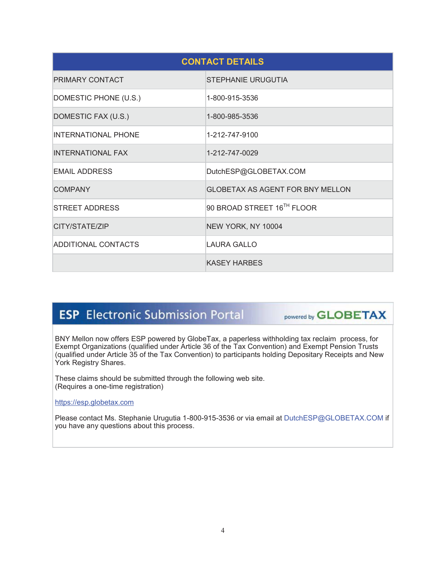| <b>CONTACT DETAILS</b>     |                                         |  |  |
|----------------------------|-----------------------------------------|--|--|
| <b>PRIMARY CONTACT</b>     | STEPHANIE URUGUTIA                      |  |  |
| DOMESTIC PHONE (U.S.)      | 1-800-915-3536                          |  |  |
| DOMESTIC FAX (U.S.)        | 1-800-985-3536                          |  |  |
| <b>INTERNATIONAL PHONE</b> | 1-212-747-9100                          |  |  |
| <b>INTERNATIONAL FAX</b>   | 1-212-747-0029                          |  |  |
| <b>EMAIL ADDRESS</b>       | DutchESP@GLOBETAX.COM                   |  |  |
| <b>COMPANY</b>             | <b>GLOBETAX AS AGENT FOR BNY MELLON</b> |  |  |
| STREET ADDRESS             | 90 BROAD STREET 16TH FLOOR              |  |  |
| CITY/STATE/ZIP             | NEW YORK, NY 10004                      |  |  |
| <b>ADDITIONAL CONTACTS</b> | LAURA GALLO                             |  |  |
|                            | <b>KASEY HARBES</b>                     |  |  |

# **ESP** Electronic Submission Portal

powered by **GLOBETAX** 

BNY Mellon now offers ESP powered by GlobeTax, a paperless withholding tax reclaim process, for Exempt Organizations (qualified under Article 36 of the Tax Convention) and Exempt Pension Trusts (qualified under Article 35 of the Tax Convention) to participants holding Depositary Receipts and New York Registry Shares.

These claims should be submitted through the following web site. (Requires a one-time registration)

https://esp.globetax.com

Please contact Ms. Stephanie Urugutia 1-800-915-3536 or via email at DutchESP@GLOBETAX.COM if you have any questions about this process.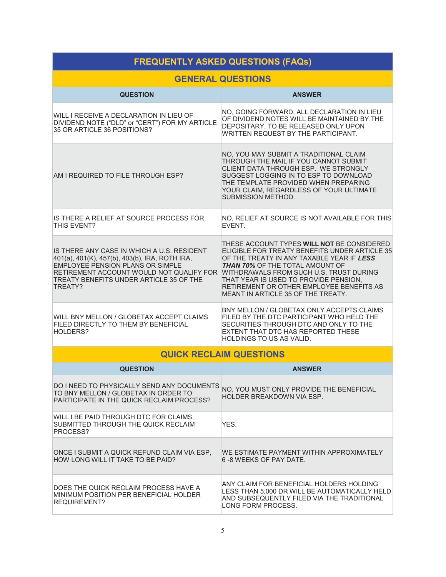#### **FREQUENTLY ASKED QUESTIONS (FAQs) GENERAL QUESTIONS QUESTION ANSWER** WILL I RECEIVE A DECLARATION IN LIEU OF DIVIDEND NOTE ("DLD" or "CERT") FOR MY ARTICLE 35 OR ARTICLE 36 POSITIONS? NO, GOING FORWARD, ALL DECLARATION IN LIEU OF DIVIDEND NOTES WILL BE MAINTAINED BY THE DEPOSITARY, TO BE RELEASED ONLY UPON WRITTEN REQUEST BY THE PARTICIPANT. AM I REQUIRED TO FILE THROUGH ESP? NO, YOU MAY SUBMIT A TRADITIONAL CLAIM THROUGH THE MAIL IF YOU CANNOT SUBMIT CLIENT DATA THROUGH ESP. WE STRONGLY SUGGEST LOGGING IN TO ESP TO DOWNLOAD THE TEMPLATE PROVIDED WHEN PREPARING YOUR CLAIM, REGARDLESS OF YOUR ULTIMATE SUBMISSION METHOD. IS THERE A RELIEF AT SOURCE PROCESS FOR THIS EVENT? NO, RELIEF AT SOURCE IS NOT AVAILABLE FOR THIS EVENT. IS THERE ANY CASE IN WHICH A U.S. RESIDENT 401(a), 401(K), 457(b), 403(b), IRA, ROTH IRA, EMPLOYEE PENSION PLANS OR SIMPLE RETIREMENT ACCOUNT WOULD NOT QUALIFY FOR WITHDRAWALS FROM SUCH U.S. TRUST DURING TREATY BENEFITS UNDER ARTICLE 35 OF THE TREATY? THESE ACCOUNT TYPES **WILL NOT** BE CONSIDERED ELIGIBLE FOR TREATY BENEFITS UNDER ARTICLE 35 OF THE TREATY IN ANY TAXABLE YEAR IF *LESS THAN 70%* OF THE TOTAL AMOUNT OF THAT YEAR IS USED TO PROVIDE PENSION, RETIREMENT OR OTHER EMPLOYEE BENEFITS AS MEANT IN ARTICLE 35 OF THE TREATY. WILL BNY MELLON / GLOBETAX ACCEPT CLAIMS FILED DIRECTLY TO THEM BY BENEFICIAL HOLDERS? BNY MELLON / GLOBETAX ONLY ACCEPTS CLAIMS FILED BY THE DTC PARTICIPANT WHO HELD THE SECURITIES THROUGH DTC AND ONLY TO THE EXTENT THAT DTC HAS REPORTED THESE HOLDINGS TO US AS VALID. **QUICK RECLAIM QUESTIONS QUESTION ANSWER** DO I NEED TO PHYSICALLY SEND ANY DOCUMENTS TO BNY MELLON / GLOBETAX IN ORDER TO PARTICIPATE IN THE QUICK RECLAIM PROCESS? NO, YOU MUST ONLY PROVIDE THE BENEFICIAL HOLDER BREAKDOWN VIA ESP. WILL I BE PAID THROUGH DTC FOR CLAIMS SUBMITTED THROUGH THE QUICK RECLAIM PROCESS? YES. ONCE I SUBMIT A QUICK REFUND CLAIM VIA ESP, HOW LONG WILL IT TAKE TO BE PAID? WE ESTIMATE PAYMENT WITHIN APPROXIMATELY 6 -8 WEEKS OF PAY DATE.

DOES THE QUICK RECLAIM PROCESS HAVE A MINIMUM POSITION PER BENEFICIAL HOLDER REQUIREMENT? ANY CLAIM FOR BENEFICIAL HOLDERS HOLDING LESS THAN 5,000 DR WILL BE AUTOMATICALLY HELD AND SUBSEQUENTLY FILED VIA THE TRADITIONAL LONG FORM PROCESS.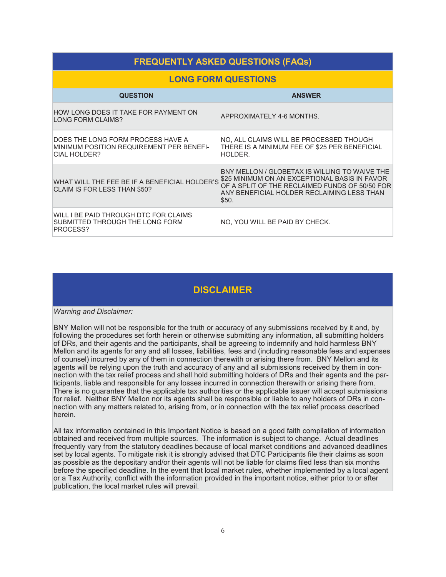# **FREQUENTLY ASKED QUESTIONS (FAQs)**

## **LONG FORM QUESTIONS**

| <b>QUESTION</b>                                                                               | <b>ANSWER</b>                                                                                                                                                                                           |
|-----------------------------------------------------------------------------------------------|---------------------------------------------------------------------------------------------------------------------------------------------------------------------------------------------------------|
| HOW LONG DOES IT TAKE FOR PAYMENT ON<br>LONG FORM CLAIMS?                                     | APPROXIMATELY 4-6 MONTHS.                                                                                                                                                                               |
| DOES THE LONG FORM PROCESS HAVE A<br>MINIMUM POSITION REQUIREMENT PER BENEFI-<br>CIAL HOLDER? | NO, ALL CLAIMS WILL BE PROCESSED THOUGH<br>THERE IS A MINIMUM FEE OF \$25 PER BENEFICIAL<br>HOLDER.                                                                                                     |
| WHAT WILL THE FEE BE IF A BENEFICIAL HOLDER'S<br>CLAIM IS FOR LESS THAN \$50?                 | BNY MELLON / GLOBETAX IS WILLING TO WAIVE THE<br>\$25 MINIMUM ON AN EXCEPTIONAL BASIS IN FAVOR<br>OF A SPLIT OF THE RECLAIMED FUNDS OF 50/50 FOR<br>ANY BENEFICIAL HOLDER RECLAIMING LESS THAN<br>\$50. |
| WILL I BE PAID THROUGH DTC FOR CLAIMS<br>SUBMITTED THROUGH THE LONG FORM<br>PROCESS?          | NO. YOU WILL BE PAID BY CHECK.                                                                                                                                                                          |

# **DISCLAIMER**

#### *Warning and Disclaimer:*

BNY Mellon will not be responsible for the truth or accuracy of any submissions received by it and, by following the procedures set forth herein or otherwise submitting any information, all submitting holders of DRs, and their agents and the participants, shall be agreeing to indemnify and hold harmless BNY Mellon and its agents for any and all losses, liabilities, fees and (including reasonable fees and expenses of counsel) incurred by any of them in connection therewith or arising there from. BNY Mellon and its agents will be relying upon the truth and accuracy of any and all submissions received by them in connection with the tax relief process and shall hold submitting holders of DRs and their agents and the participants, liable and responsible for any losses incurred in connection therewith or arising there from. There is no guarantee that the applicable tax authorities or the applicable issuer will accept submissions for relief. Neither BNY Mellon nor its agents shall be responsible or liable to any holders of DRs in connection with any matters related to, arising from, or in connection with the tax relief process described herein.

All tax information contained in this Important Notice is based on a good faith compilation of information obtained and received from multiple sources. The information is subject to change. Actual deadlines frequently vary from the statutory deadlines because of local market conditions and advanced deadlines set by local agents. To mitigate risk it is strongly advised that DTC Participants file their claims as soon as possible as the depositary and/or their agents will not be liable for claims filed less than six months before the specified deadline. In the event that local market rules, whether implemented by a local agent or a Tax Authority, conflict with the information provided in the important notice, either prior to or after publication, the local market rules will prevail.